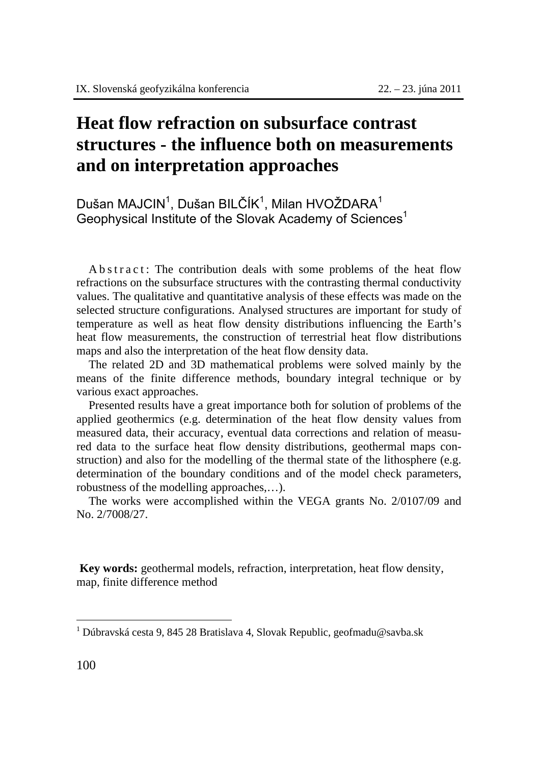## **Heat flow refraction on subsurface contrast structures - the influence both on measurements and on interpretation approaches**

Dušan MAJCIN $^1$ , Dušan BILČÍK $^1$ , Milan HVOŽDARA $^1$ Geophysical Institute of the Slovak Academy of Sciences<sup>1</sup>

A b s t r a c t : The contribution deals with some problems of the heat flow refractions on the subsurface structures with the contrasting thermal conductivity values. The qualitative and quantitative analysis of these effects was made on the selected structure configurations. Analysed structures are important for study of temperature as well as heat flow density distributions influencing the Earth's heat flow measurements, the construction of terrestrial heat flow distributions maps and also the interpretation of the heat flow density data.

The related 2D and 3D mathematical problems were solved mainly by the means of the finite difference methods, boundary integral technique or by various exact approaches.

Presented results have a great importance both for solution of problems of the applied geothermics (e.g. determination of the heat flow density values from measured data, their accuracy, eventual data corrections and relation of measured data to the surface heat flow density distributions, geothermal maps construction) and also for the modelling of the thermal state of the lithosphere (e.g. determination of the boundary conditions and of the model check parameters, robustness of the modelling approaches,…).

The works were accomplished within the VEGA grants No. 2/0107/09 and No. 2/7008/27.

**Key words:** geothermal models, refraction, interpretation, heat flow density, map, finite difference method

 $\overline{a}$ 

<sup>&</sup>lt;sup>1</sup> Dúbravská cesta 9, 845 28 Bratislava 4, Slovak Republic, geofmadu@savba.sk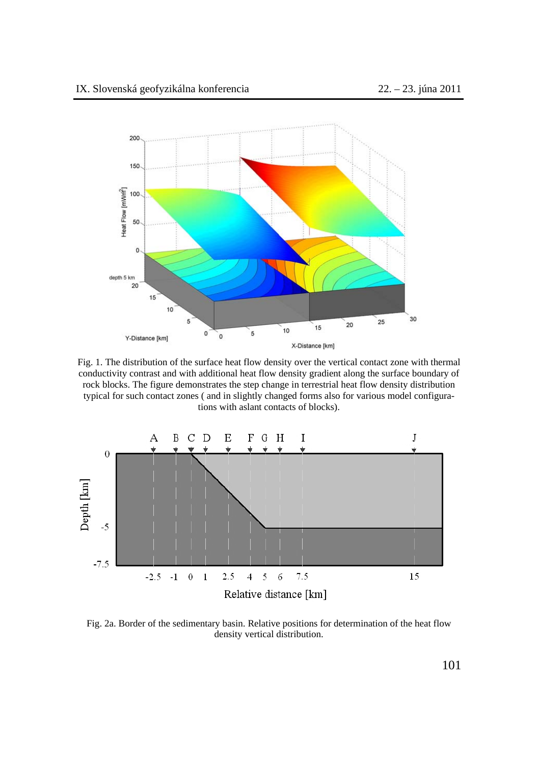

Fig. 1. The distribution of the surface heat flow density over the vertical contact zone with thermal conductivity contrast and with additional heat flow density gradient along the surface boundary of rock blocks. The figure demonstrates the step change in terrestrial heat flow density distribution typical for such contact zones ( and in slightly changed forms also for various model configurations with aslant contacts of blocks).



Fig. 2a. Border of the sedimentary basin. Relative positions for determination of the heat flow density vertical distribution.